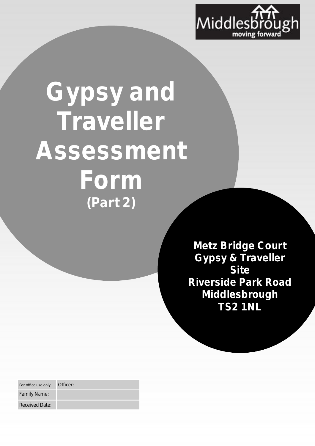

## **Gypsy and Traveller Assessment Form (Part 2)**

**Metz Bridge Court Gypsy & Traveller Site Riverside Park Road Middlesbrough TS2 1NL**

| For office use only   | Officer: |
|-----------------------|----------|
| <b>Family Name:</b>   |          |
| <b>Received Date:</b> |          |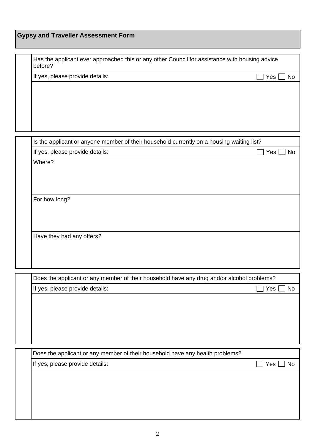## **Gypsy and Traveller Assessment Form**

| Has the applicant ever approached this or any other Council for assistance with housing advice<br>before? |                    |  |
|-----------------------------------------------------------------------------------------------------------|--------------------|--|
| If yes, please provide details:                                                                           | Yes  <br><b>No</b> |  |
|                                                                                                           |                    |  |
|                                                                                                           |                    |  |
| Is the applicant or anyone member of their household currently on a housing waiting list?                 |                    |  |
| If yes, please provide details:                                                                           | Yes<br><b>No</b>   |  |
| Where?                                                                                                    |                    |  |
|                                                                                                           |                    |  |
| For how long?                                                                                             |                    |  |
|                                                                                                           |                    |  |
|                                                                                                           |                    |  |
|                                                                                                           |                    |  |
| Have they had any offers?                                                                                 |                    |  |
|                                                                                                           |                    |  |
|                                                                                                           |                    |  |
|                                                                                                           |                    |  |
| Does the applicant or any member of their household have any drug and/or alcohol problems?                |                    |  |
| If yes, please provide details:                                                                           | Yes<br>No          |  |
|                                                                                                           |                    |  |
|                                                                                                           |                    |  |
|                                                                                                           |                    |  |
|                                                                                                           |                    |  |

 Does the applicant or any member of their household have any health problems? If yes, please provide details:  $\Box$  Yes  $\Box$  No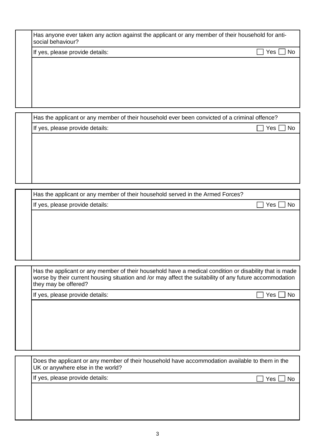| Has anyone ever taken any action against the applicant or any member of their household for anti-<br>social behaviour? |           |  |
|------------------------------------------------------------------------------------------------------------------------|-----------|--|
| If yes, please provide details:                                                                                        | Yes<br>No |  |
|                                                                                                                        |           |  |
|                                                                                                                        |           |  |
|                                                                                                                        |           |  |
|                                                                                                                        |           |  |
|                                                                                                                        |           |  |

| Has the applicant or any member of their household ever been convicted of a criminal offence? |     |  |
|-----------------------------------------------------------------------------------------------|-----|--|
| If yes, please provide details:                                                               | Yes |  |
|                                                                                               |     |  |
|                                                                                               |     |  |
|                                                                                               |     |  |
|                                                                                               |     |  |
|                                                                                               |     |  |

| Has the applicant or any member of their household served in the Armed Forces? |               |
|--------------------------------------------------------------------------------|---------------|
| If yes, please provide details:                                                | l No<br>Yes I |
|                                                                                |               |
|                                                                                |               |

 Has the applicant or any member of their household have a medical condition or disability that is made worse by their current housing situation and /or may affect the suitability of any future accommodation they may be offered?

If yes, please provide details:  $\Box$  No

 Does the applicant or any member of their household have accommodation available to them in the UK or anywhere else in the world?

If yes, please provide details:  $\Box$  Yes  $\Box$  No